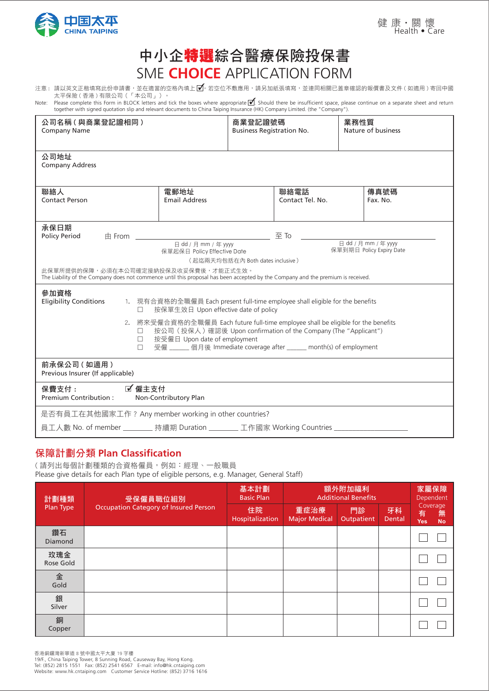

# 中小企特選綜合醫療保險投保書 SME **CHOICE** APPLICATION FORM

- 注意 : 請以英文正楷填寫此份申請書,並在適當的空格內填上 ☑。若空位不敷應用,請另加紙張填寫,並連同相關已蓋章確認的報價書及文件 ( 如適用 ) 寄回中國 太平保險 ( 香港 ) 有限公司(「本公司」)。 ✓
- Note: Please complete this Form in BLOCK letters and tick the boxes where appropriate ■. Should there be insufficient space, please continue on a separate sheet and return Note: Please continue on a separate sheet and ret together with signed quotation slip and relevant documents to China Taiping Insurance (HK) Company Limited. (the "Company").

| 公司名稱(與商業登記證相同)<br><b>Company Name</b>                                                                                                                                                                                                                                                                                                                                                                                                                                                                                                                                                   | 商業登記證號碼<br><b>Business Registration No.</b>                                                                                                                                                |  | 業務性質<br>Nature of business |                  |  |  |  |  |
|-----------------------------------------------------------------------------------------------------------------------------------------------------------------------------------------------------------------------------------------------------------------------------------------------------------------------------------------------------------------------------------------------------------------------------------------------------------------------------------------------------------------------------------------------------------------------------------------|--------------------------------------------------------------------------------------------------------------------------------------------------------------------------------------------|--|----------------------------|------------------|--|--|--|--|
| 公司地址<br><b>Company Address</b>                                                                                                                                                                                                                                                                                                                                                                                                                                                                                                                                                          |                                                                                                                                                                                            |  |                            |                  |  |  |  |  |
| 聯絡人<br><b>Contact Person</b>                                                                                                                                                                                                                                                                                                                                                                                                                                                                                                                                                            | 電郵地址<br><b>Email Address</b>                                                                                                                                                               |  | 聯絡電話<br>Contact Tel. No.   | 傳真號碼<br>Fax. No. |  |  |  |  |
| 承保日期<br>$\pm$ From<br><b>Policy Period</b>                                                                                                                                                                                                                                                                                                                                                                                                                                                                                                                                              | 至To<br>日 dd / 月 mm / 年 yyyy<br>日 dd / 月 mm / 年 yyyy<br>保單到期日 Policy Expiry Date<br>保單起保日 Policy Effective Date<br>(起迄兩天均包括在內 Both dates inclusive)<br>此保單所提供的保障,必須在本公司確定接納投保及收妥保費後,才能正式生效。 |  |                            |                  |  |  |  |  |
| The Liability of the Company does not commence until this proposal has been accepted by the Company and the premium is received.<br>參加資格<br><b>Eligibility Conditions</b><br>1. 現有合資格的全職僱員 Each present full-time employee shall eligible for the benefits<br>按保單生效日 Upon effective date of policy<br>П.<br>2. 將來受僱合資格的全職僱員 Each future full-time employee shall be eligible for the benefits<br>按公司(投保人)確認後 Upon confirmation of the Company (The "Applicant")<br>П.<br>按受僱日 Upon date of employment<br>П.<br>受僱 _____ 個月後 Immediate coverage after _____ month(s) of employment<br>П. |                                                                                                                                                                                            |  |                            |                  |  |  |  |  |
| 前承保公司(如適用)<br>Previous Insurer (If applicable)                                                                                                                                                                                                                                                                                                                                                                                                                                                                                                                                          |                                                                                                                                                                                            |  |                            |                  |  |  |  |  |
| ■ 僱主支付<br>保費支付:<br>Premium Contribution:                                                                                                                                                                                                                                                                                                                                                                                                                                                                                                                                                | Non-Contributory Plan                                                                                                                                                                      |  |                            |                  |  |  |  |  |
| 是否有員工在其他國家工作? Any member working in other countries?<br>員工人數 No. of member ________ 持續期 Duration ________ 工作國家 Working Countries _________                                                                                                                                                                                                                                                                                                                                                                                                                                              |                                                                                                                                                                                            |  |                            |                  |  |  |  |  |

# 保障計劃分類 **Plan Classification**

( 請列出每個計劃種類的合資格僱員,例如:經理、一般職員 Please give details for each Plan type of eligible persons, e.g. Manager, General Staff)

| 計劃種類             | 受保僱員職位組別                                     | 基本計劃<br><b>Basic Plan</b> | 額外附加福利<br><b>Additional Benefits</b> | 家屬保障<br>Dependent |              |                                               |  |
|------------------|----------------------------------------------|---------------------------|--------------------------------------|-------------------|--------------|-----------------------------------------------|--|
| Plan Type        | <b>Occupation Category of Insured Person</b> | 住院<br>Hospitalization     | 重症治療<br><b>Major Medical</b>         | 門診<br>Outpatient  | 牙科<br>Dental | Coverage<br>無<br>有<br><b>No</b><br><b>Yes</b> |  |
| 鑽石<br>Diamond    |                                              |                           |                                      |                   |              |                                               |  |
| 玫瑰金<br>Rose Gold |                                              |                           |                                      |                   |              |                                               |  |
| 金<br>Gold        |                                              |                           |                                      |                   |              |                                               |  |
| 銀<br>Silver      |                                              |                           |                                      |                   |              |                                               |  |
| 銅<br>Copper      |                                              |                           |                                      |                   |              |                                               |  |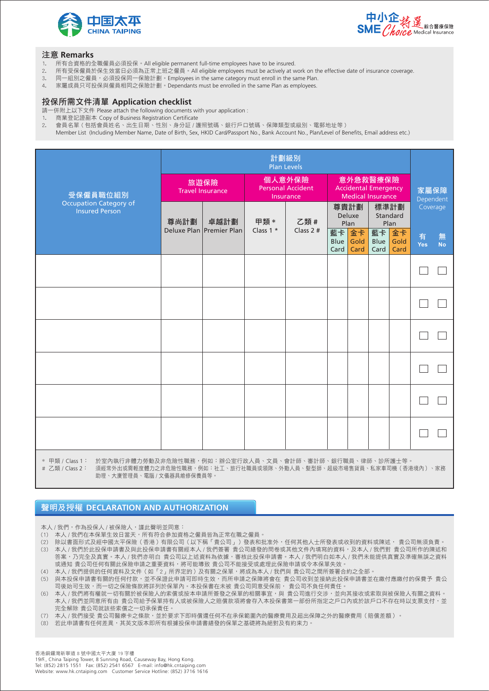



#### 注意 **Remarks**

- 1. 所有合資格的全職僱員必須投保。All eligible permanent full-time employees have to be insured.
- 2. 所有受保僱員於保生效當日必須為正常上班之僱員。All eligible employees must be actively at work on the effective date of insurance coverage.
- 3. 同一組別之僱員,必須投保同一保險計劃。Employees in the same category must enroll in the same Plan.
- 4. 家屬成員只可投保與僱員相同之保險計劃。Dependants must be enrolled in the same Plan as employees.

## 投保所需文件清單 **Application checklist**

- 請一併附上以下文件 Please attach the following documents with your application :
- 1. 商業登記證副本 Copy of Business Registration Certificate
- 2. 會員名單 ( 包括會員姓名、出生日期、性別、身分証 / 護照號碼、銀行戶口號碼、保障類型或級別、電郵地址等 )
- Member List (Including Member Name, Date of Birth, Sex, HKID Card/Passport No., Bank Account No., Plan/Level of Benefits, Email address etc.)

|                                                                    | 計劃級別<br><b>Plan Levels</b>      |                                                                |                                          |                                                                     |                        |                    |                          |                    |          |                |
|--------------------------------------------------------------------|---------------------------------|----------------------------------------------------------------|------------------------------------------|---------------------------------------------------------------------|------------------------|--------------------|--------------------------|--------------------|----------|----------------|
| 受保僱員職位組別<br><b>Occupation Category of</b><br><b>Insured Person</b> | 旅遊保險<br><b>Travel Insurance</b> |                                                                | 個人意外保險<br>Personal Accident<br>Insurance | 意外急救醫療保險<br><b>Accidental Emergency</b><br><b>Medical Insurance</b> |                        |                    |                          | 家屬保障<br>Dependent  |          |                |
|                                                                    | 尊尚計劃                            | 卓越計劃<br>Deluxe Plan Premier Plan                               | 甲類 *<br>Class $1 *$                      | 乙類 #<br>Class $2#$                                                  | 尊貴計劃<br>Deluxe<br>Plan |                    | 標準計劃<br>Standard<br>Plan |                    | Coverage |                |
|                                                                    |                                 |                                                                |                                          |                                                                     | 藍卡<br>Blue<br>Card     | 金卡<br>Gold<br>Card | 藍卡<br>Blue<br>Card       | 金卡<br>Gold<br>Card | 有<br>Yes | 無<br><b>No</b> |
|                                                                    |                                 |                                                                |                                          |                                                                     |                        |                    |                          |                    |          |                |
|                                                                    |                                 |                                                                |                                          |                                                                     |                        |                    |                          |                    |          |                |
|                                                                    |                                 |                                                                |                                          |                                                                     |                        |                    |                          |                    |          |                |
|                                                                    |                                 |                                                                |                                          |                                                                     |                        |                    |                          |                    |          |                |
|                                                                    |                                 |                                                                |                                          |                                                                     |                        |                    |                          |                    |          |                |
|                                                                    |                                 |                                                                |                                          |                                                                     |                        |                    |                          |                    |          |                |
| $\sim$ $\Box$ \An $\sim$ $\Box$<br>┾∧ ⊏⇒ 금→ ±∔ ╱二 ⊣⊢ ロ#!           |                                 | — 火火 壬+ TZ ⊣ ⊢ ∠— 『△ ふ++ ™ ▽ マケ ― 「ね」+o ・ ・ ふふ / ヽ =━━ /二 ㅠ_ - | $\rightarrow \equiv$                     | 会计而一 安斗市 妇女工聯 三体的 医大脑下垂                                             |                        |                    |                          |                    |          |                |

\* 甲類 / Class 1: 於室內執行非體力勞動及非危險性職務,例如:辦公室行政人員、文員、會計師、審計師、銀行職員、律師、診所護士等。 # 乙類 / Class 2: 須經常外出或需輕度體力之非危險性職務,例如:社工、旅行社職員或領隊、外勤人員、髮型師、超級市場售貨員、私家車司機(香港境內)、家務 助理、大廈管理員、電腦 / 文儀器具維修保養員等。

聲明及授權 **DECLARATION AND AUTHORIZATION**

本人 / 我們, 作為投保人 / 被保險人, 謹此聲明並同意:

- 。<br>(1) 本人 / 我們在本保單生效日當天,所有符合參加資格之僱員皆為正常在職之僱員。
- (2) 除以書面形式及經中國太平保險(香港)有限公司(以下稱「貴公司」)發表和批准外,任何其他人士所發表或收到的資料或陳述, 貴公司無須負責。
- (3) 本人 / 我們於此投保申請書及與此投保申請書有關經本人 / 我們簽署 貴公司繕發的問卷或其他文件內填寫的資料,及本人 / 我們對 貴公司所作的陳述和 答案,乃完全及真實。本人 / 我們亦明白 貴公司以上述資料為依據,審核此投保申請書。本人 / 我們明白如本人 / 我們未能提供真實及準確無誤之資料 或通知 貴公司任何有關此保險申請之重要資料,將可能導致 貴公司不能接受或處理此保險申請或令本保單失效。
- (4) 本人 / 我們提供的任何資料及文件(如「2」所界定的)及有關之保單,將成為本人 / 我們與 貴公司之間所簽署合約之全部。
- (5) 與本投保申請書有關的任何付款,並不保證此申請可即時生效,而所申請之保障將會在 貴公司收到並接納此投保申請書並在繳付應繳付的保費予 貴公 。<br>司後始可生效,而一切之保險條款將詳列於保單內。本投保書在未被 貴公司同意受保前, 貴公司不負任何責任
- (6) 本人 / 我們將有權就一切有關於被保險人的索償或按本申請所簽發之保單的相關事宜,與 貴公司進行交涉,並向其接收或索取與被保險人有關之資料。 本人 / 我們並同意所有由 貴公司給予保單持有人或被保險人之賠償款項將會存入本投保書第一部份所指定之戶口內或於該戶口不存在時以支票支付,並 完全解除 貴公司就該些索償之一切承保責任。

(7) 本人 / 我們接受 貴公司醫療卡之條款,並於要求下即時償還任何不在承保範圍內的醫療費用及超出保障之外的醫療費用 ( 賠償差額 ) 。

(8) 若此申請書有任何差異,其英文版本即所有根據投保申請書繕發的保單之基礎將為絕對及有約束力。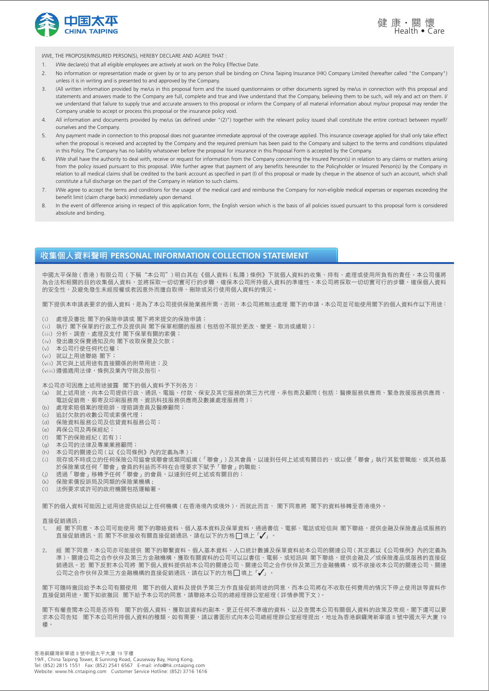



I/WE, THE PROPOSER/INSURED PERSON(S), HEREBY DECLARE AND AGREE THAT :

- 1. I/We declare(s) that all eligible employees are actively at work on the Policy Effective Date.
- 2. No information or representation made or given by or to any person shall be binding on China Taiping Insurance (HK) Company Limited (hereafter called "the Company") unless it is in writing and is presented to and approved by the Company.
- 3. (All written information provided by me/us in this proposal form and the issued questionnaires or other documents signed by me/us in connection with this proposal and statements and answers made to the Company are full, complete and true and I/we understand that the Company, believing them to be such, will rely and act on them. I/ we understand that failure to supply true and accurate answers to this proposal or inform the Company of all material information about my/our proposal may render the Company unable to accept or process this proposal or the insurance policy void.
- 4. All information and documents provided by me/us (as defined under "(2)") together with the relevant policy issued shall constitute the entire contract between myself/ ourselves and the Company.
- 5. Any payment made in connection to this proposal does not guarantee immediate approval of the coverage applied. This insurance coverage applied for shall only take effect when the proposal is received and accepted by the Company and the required premium has been paid to the Company and subject to the terms and conditions stipulated in this Policy. The Company has no liability whatsoever before the proposal for insurance in this Proposal Form is accepted by the Company.
- 6. I/We shall have the authority to deal with, receive or request for information from the Company concerning the Insured Person(s) in relation to any claims or matters arising from the policy issued pursuant to this proposal. I/We further agree that payment of any benefits hereunder to the Policyholder or Insured Person(s) by the Company in relation to all medical claims shall be credited to the bank account as specified in part (I) of this proposal or made by cheque in the absence of such an account, which shall constitute a full discharge on the part of the Company in relation to such claims.
- 7. I/We agree to accept the terms and conditions for the usage of the medical card and reimburse the Company for non-eligible medical expenses or expenses exceeding the benefit limit (claim charge back) immediately upon demand.
- 8. In the event of difference arising in respect of this application form, the English version which is the basis of all policies issued pursuant to this proposal form is considered absolute and binding.

### 收集個人資料聲明 **PERSONAL INFORMATION COLLECTION STATEMENT**

中國太平保險 ( 香港 ) 有限公司 ( 下稱"本公司") 明白其在《個人資料 ( 私隱 ) 條例》下就個人資料的收集、持有、處理或使用所負有的責任。本公司僅將 為合法和相關的目的收集個人資料,並將採取一切切實可行的步驟,確保本公司所持個人資料的準確性。本公司將採取一切切實可行的步驟,確保個人資料 的安全性,及避免發生未經授權或者因意外而擅自取得、刪除或另行使用個人資料的情況。

閣下提供本申請表要求的個人資料,是為了本公司提供保險業務所需,否則,本公司將無法處理 閣下的申請。本公司並可能使用閣下的個人資料作以下用途:

- (i) 處理及審批 閣下的保險申請或 閣下將來提交的保險申請;
- (ii) 執行 閣下保單的行政工作及提供與 閣下保單相關的服務 ( 包括但不限於更改、變更、取消或續期 );
- (iii) 分析、調查、處理及支付 閣下保單有關的索償;
- (iv) 發出繳交保費通知及向 閣下收取保費及欠款;
- (v) 本公司行使任何代位權;
- (vi) 就以上用途聯絡 閣下;
- (vii) 其它與上述用途有直接關係的附帶用途;及
- (viii) 遵循適用法律,條例及業內守則及指引。

本公司亦可因應上述用途披露 閣下的個人資料予下列各方:

- (a) 就上述用途,向本公司提供行政、通訊、電腦、付款、保安及其它服務的第三方代理、承包商及顧問 ( 包括:醫療服務供應商、緊急救援服務供應商、 電話促銷商、郵寄及印刷服務商、資訊科技服務供應商及數據處理服務商 );
- (b) 處理索賠個案的理賠師、理賠調查員及醫療顧問;
- (c) 追討欠款的收數公司或索償代理;
- (d) 保險資料服務公司及信貸資料服務公司;
- (e) 再保公司及再保經紀;
- (f) 閣下的保險經紀 ( 若有 );
- (g) 本公司的法律及專業業務顧問;
- (h) 本公司的關連公司 ( 以《公司條例》內的定義為準 );
- 。。<br>(i) 現存或不時成立的任何保險公司協會或聯會或類同組織 (「聯會」) 及其會員,以達到任何上述或有關目的,或以便「聯會」執行其監管職能,或其他基 於保險業或任何「聯會」會員的利益而不時在合理要求下賦予「聯會」的職能;
- (j) 透過「聯會」移轉予任何「聯會」的會員,以達到任何上述或有關目的;
- (k) 保險索償投訴局及同類的保險業機構 ;
- (l) 法例要求或許可的政府機關包括運輸署。

閣下的個人資料可能因上述用途提供給以上任何機構 ( 在香港境內或境外 ),而就此而言, 閣下同意將 閣下的資料移轉至香港境外。

直接促銷通訊 :

- . 經 閣下同意,本公司可能使用 閣下的聯絡資料、個人基本資料及保單資料,通過書信、電郵、電話或短信與 閣下聯絡,提供金融及保險產品或服務的  $\bar{\mathbf{z}}$  建设备输入 在 閣下不欲接收有關直接促銷通訊,請在以下的方格 $\Box$  填上「 $\checkmark$ 」。
- 經 閣下同意,本公司亦可能提供 閣下的聯繫資料、個人基本資料、人口統計數據及保單資料給本公司的關連公司 ( 其定義以 《公司條例》內的定義為 進)、關連公司之合作伙伴及第三方金融機構,獲取有關資料的公司可以以書信、電郵、或短訊與 閣下聯絡,提供金融及/或保險產品或服務的直接促 一/ 闘定公司と日刊以日公办二分並協议的 "这公司開会日报会」,以公司日 電子 《《孟朝公》第118章 《《王隐公》《《田海公司·《西部》》(11941年)<br>銷通訊。若 閣下反對本公司將 閣下個人資料提供給本公司的關連公司、關連公司之合作伙伴及第三方金融機構,或不欲接收本公司的關連公司、關連  $\Delta$ 司之合作伙伴及第三方金融機構的直接促銷通訊,請在以下的方格 $\Box$ 填上「 $\checkmark$ 」。

閣下可隨時撤回給予本公司有關使用 閣下的個人資料及提供予第三方作直接促銷用途的同意,而本公司將在不收取任何費用的情況下停止使用該等資料作 直接促銷用途。閣下如欲撤回 閣下給予本公司的同意,請聯絡本公司的總經理辦公室經理 ( 詳情參閱下文 )。

閣下有權查閱本公司是否持有 閣下的個人資料,獲取該資料的副本,更正任何不準確的資料,以及查閱本公司有關個人資料的政策及常規。閣下還可以要 求本公司告知 閣下本公司所持個人資料的種類。如有需要,請以書面形式向本公司總經理辦公室經理提出,地址為香港銅鑼灣新寧道 8 號中國太平大廈 19 樓。